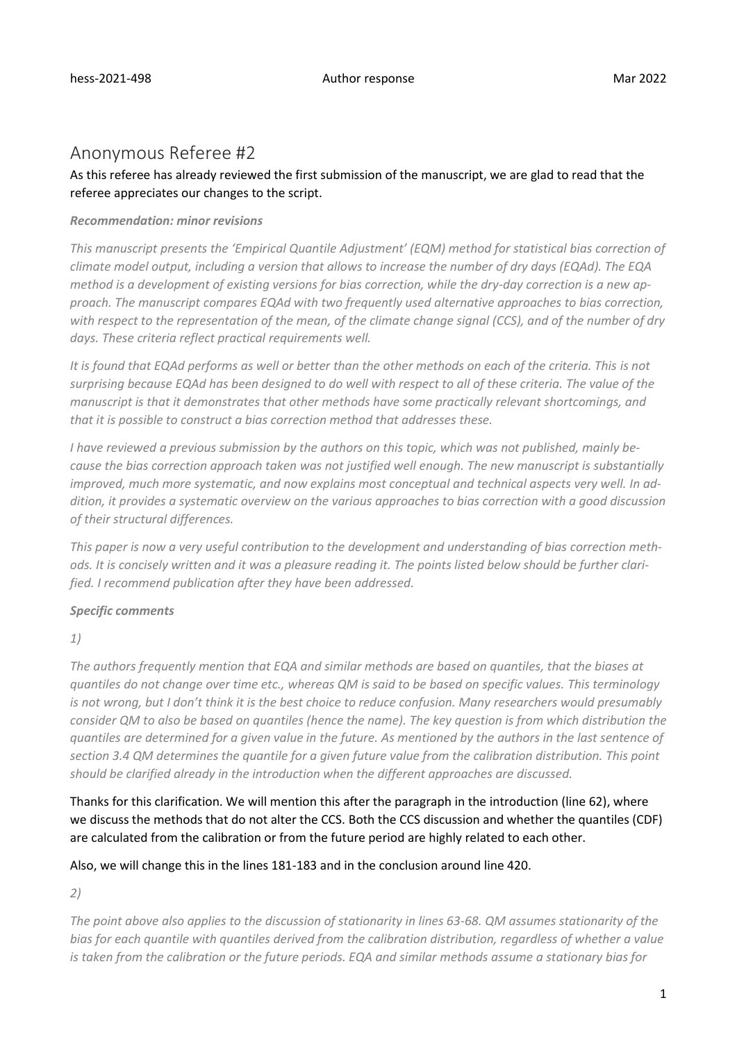# Anonymous Referee #2

# As this referee has already reviewed the first submission of the manuscript, we are glad to read that the referee appreciates our changes to the script.

#### *Recommendation: minor revisions*

*This manuscript presents the 'Empirical Quantile Adjustment' (EQM) method for statistical bias correction of climate model output, including a version that allows to increase the number of dry days (EQAd). The EQA method is a development of existing versions for bias correction, while the dry-day correction is a new approach. The manuscript compares EQAd with two frequently used alternative approaches to bias correction, with respect to the representation of the mean, of the climate change signal (CCS), and of the number of dry days. These criteria reflect practical requirements well.*

*It is found that EQAd performs as well or better than the other methods on each of the criteria. This is not surprising because EQAd has been designed to do well with respect to all of these criteria. The value of the manuscript is that it demonstrates that other methods have some practically relevant shortcomings, and that it is possible to construct a bias correction method that addresses these.*

*I have reviewed a previous submission by the authors on this topic, which was not published, mainly because the bias correction approach taken was not justified well enough. The new manuscript is substantially improved, much more systematic, and now explains most conceptual and technical aspects very well. In addition, it provides a systematic overview on the various approaches to bias correction with a good discussion of their structural differences.*

*This paper is now a very useful contribution to the development and understanding of bias correction methods. It is concisely written and it was a pleasure reading it. The points listed below should be further clarified. I recommend publication after they have been addressed.*

# *Specific comments*

*1)*

*The authors frequently mention that EQA and similar methods are based on quantiles, that the biases at quantiles do not change over time etc., whereas QM is said to be based on specific values. This terminology is not wrong, but I don't think it is the best choice to reduce confusion. Many researchers would presumably consider QM to also be based on quantiles (hence the name). The key question is from which distribution the quantiles are determined for a given value in the future. As mentioned by the authors in the last sentence of section 3.4 QM determines the quantile for a given future value from the calibration distribution. This point should be clarified already in the introduction when the different approaches are discussed.*

Thanks for this clarification. We will mention this after the paragraph in the introduction (line 62), where we discuss the methods that do not alter the CCS. Both the CCS discussion and whether the quantiles (CDF) are calculated from the calibration or from the future period are highly related to each other.

# Also, we will change this in the lines 181-183 and in the conclusion around line 420.

*2)*

*The point above also applies to the discussion of stationarity in lines 63-68. QM assumes stationarity of the bias for each quantile with quantiles derived from the calibration distribution, regardless of whether a value is taken from the calibration or the future periods. EQA and similar methods assume a stationary bias for*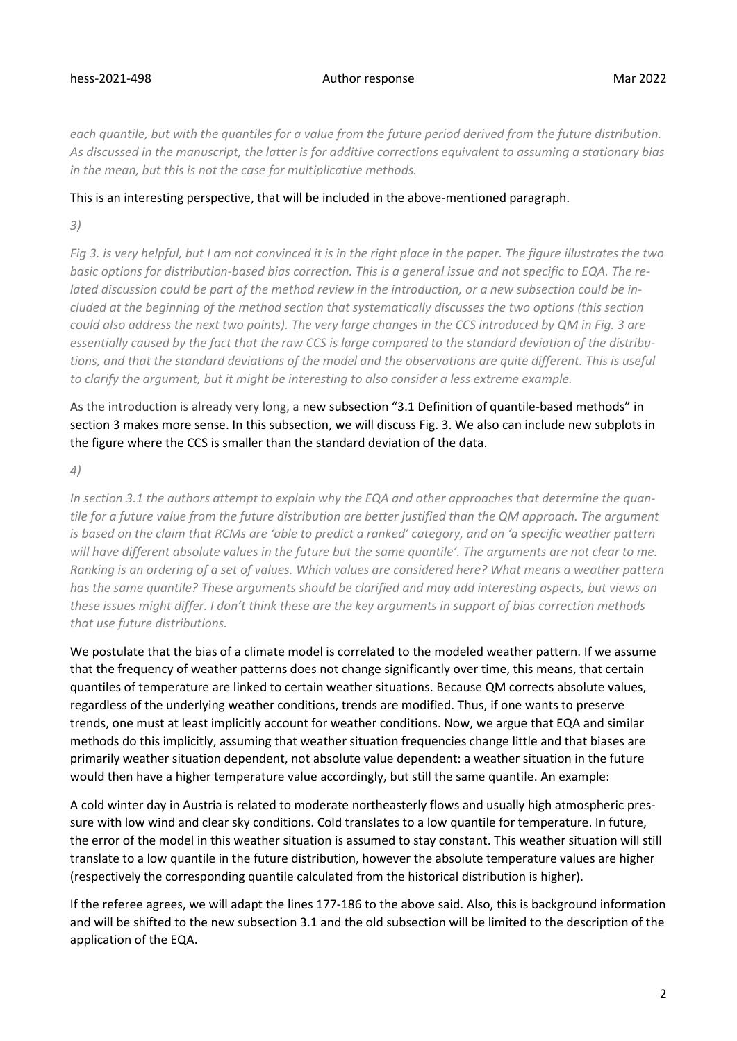*each quantile, but with the quantiles for a value from the future period derived from the future distribution. As discussed in the manuscript, the latter is for additive corrections equivalent to assuming a stationary bias in the mean, but this is not the case for multiplicative methods.*

#### This is an interesting perspective, that will be included in the above-mentioned paragraph.

*3)*

*Fig 3. is very helpful, but I am not convinced it is in the right place in the paper. The figure illustrates the two basic options for distribution-based bias correction. This is a general issue and not specific to EQA. The related discussion could be part of the method review in the introduction, or a new subsection could be included at the beginning of the method section that systematically discusses the two options (this section could also address the next two points). The very large changes in the CCS introduced by QM in Fig. 3 are essentially caused by the fact that the raw CCS is large compared to the standard deviation of the distributions, and that the standard deviations of the model and the observations are quite different. This is useful to clarify the argument, but it might be interesting to also consider a less extreme example.*

As the introduction is already very long, a new subsection "3.1 Definition of quantile-based methods" in section 3 makes more sense. In this subsection, we will discuss Fig. 3. We also can include new subplots in the figure where the CCS is smaller than the standard deviation of the data.

*4)*

*In section 3.1 the authors attempt to explain why the EQA and other approaches that determine the quantile for a future value from the future distribution are better justified than the QM approach. The argument is based on the claim that RCMs are 'able to predict a ranked' category, and on 'a specific weather pattern will have different absolute values in the future but the same quantile'. The arguments are not clear to me. Ranking is an ordering of a set of values. Which values are considered here? What means a weather pattern has the same quantile? These arguments should be clarified and may add interesting aspects, but views on these issues might differ. I don't think these are the key arguments in support of bias correction methods that use future distributions.*

We postulate that the bias of a climate model is correlated to the modeled weather pattern. If we assume that the frequency of weather patterns does not change significantly over time, this means, that certain quantiles of temperature are linked to certain weather situations. Because QM corrects absolute values, regardless of the underlying weather conditions, trends are modified. Thus, if one wants to preserve trends, one must at least implicitly account for weather conditions. Now, we argue that EQA and similar methods do this implicitly, assuming that weather situation frequencies change little and that biases are primarily weather situation dependent, not absolute value dependent: a weather situation in the future would then have a higher temperature value accordingly, but still the same quantile. An example:

A cold winter day in Austria is related to moderate northeasterly flows and usually high atmospheric pressure with low wind and clear sky conditions. Cold translates to a low quantile for temperature. In future, the error of the model in this weather situation is assumed to stay constant. This weather situation will still translate to a low quantile in the future distribution, however the absolute temperature values are higher (respectively the corresponding quantile calculated from the historical distribution is higher).

If the referee agrees, we will adapt the lines 177-186 to the above said. Also, this is background information and will be shifted to the new subsection 3.1 and the old subsection will be limited to the description of the application of the EQA.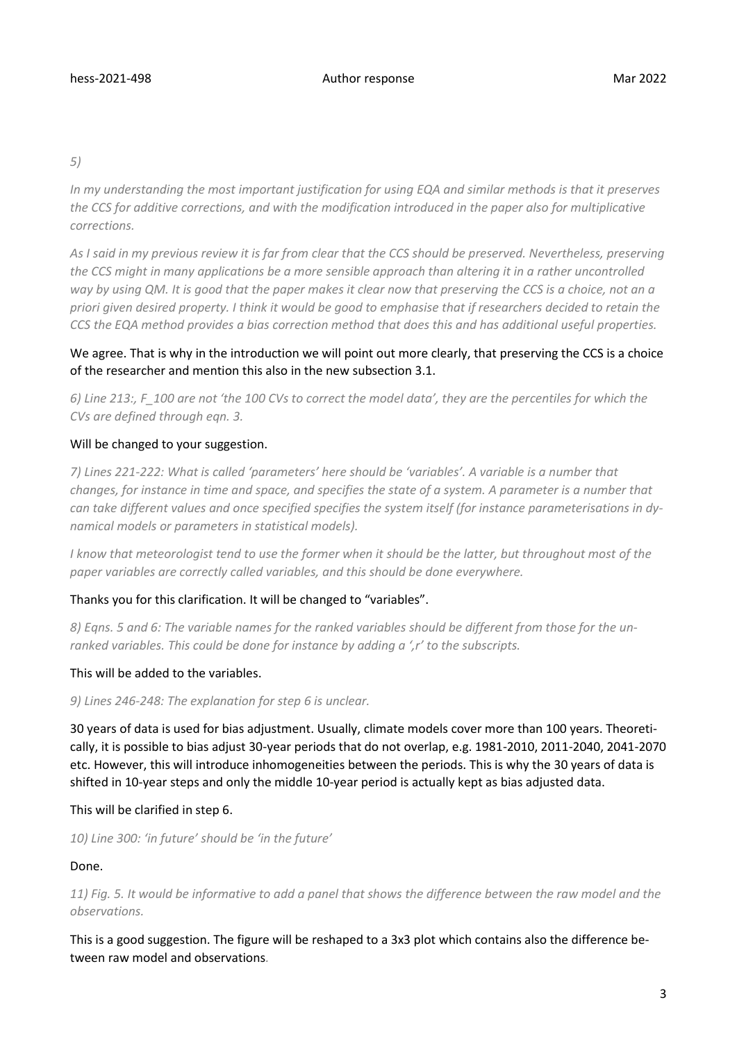*5)*

*In my understanding the most important justification for using EQA and similar methods is that it preserves the CCS for additive corrections, and with the modification introduced in the paper also for multiplicative corrections.*

*As I said in my previous review it is far from clear that the CCS should be preserved. Nevertheless, preserving the CCS might in many applications be a more sensible approach than altering it in a rather uncontrolled way by using QM. It is good that the paper makes it clear now that preserving the CCS is a choice, not an a priori given desired property. I think it would be good to emphasise that if researchers decided to retain the CCS the EQA method provides a bias correction method that does this and has additional useful properties.*

# We agree. That is why in the introduction we will point out more clearly, that preserving the CCS is a choice of the researcher and mention this also in the new subsection 3.1.

*6) Line 213:, F\_100 are not 'the 100 CVs to correct the model data', they are the percentiles for which the CVs are defined through eqn. 3.*

# Will be changed to your suggestion.

*7) Lines 221-222: What is called 'parameters' here should be 'variables'. A variable is a number that changes, for instance in time and space, and specifies the state of a system. A parameter is a number that can take different values and once specified specifies the system itself (for instance parameterisations in dynamical models or parameters in statistical models).*

*I* know that meteorologist tend to use the former when it should be the latter, but throughout most of the *paper variables are correctly called variables, and this should be done everywhere.*

# Thanks you for this clarification. It will be changed to "variables".

*8) Eqns. 5 and 6: The variable names for the ranked variables should be different from those for the unranked variables. This could be done for instance by adding a ',r' to the subscripts.*

#### This will be added to the variables.

*9) Lines 246-248: The explanation for step 6 is unclear.*

30 years of data is used for bias adjustment. Usually, climate models cover more than 100 years. Theoretically, it is possible to bias adjust 30-year periods that do not overlap, e.g. 1981-2010, 2011-2040, 2041-2070 etc. However, this will introduce inhomogeneities between the periods. This is why the 30 years of data is shifted in 10-year steps and only the middle 10-year period is actually kept as bias adjusted data.

#### This will be clarified in step 6.

*10) Line 300: 'in future' should be 'in the future'*

#### Done.

*11) Fig. 5. It would be informative to add a panel that shows the difference between the raw model and the observations.*

This is a good suggestion. The figure will be reshaped to a 3x3 plot which contains also the difference between raw model and observations*.*